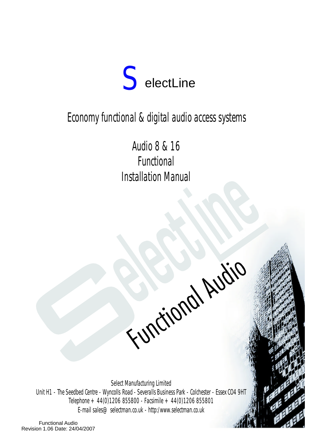

# Economy functional & digital audio access systems

Audio8& 16 Functional Installation Manual

Functional Audio

Select Manufacturing Limited Unit H1 - The Seedbed Centre - Wyncolls Road - Severalls Business Park - Colchester - Essex CO4 9HT Telephone  $+44(0)1206855800$  - Facsimile  $+44(0)1206855801$ E-mail sales@selectman.co.uk - http:/www.selectman.co.uk

 $\overline{\phantom{a}}$ 

Functional Audio Revision 1.06 Date: 24/04/2007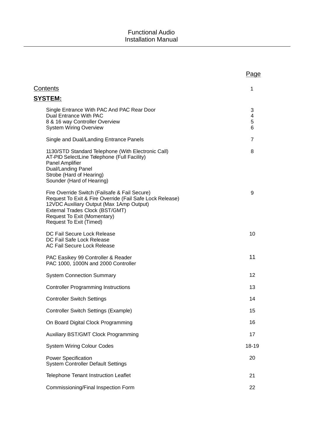|                                                                                                                                                                                                                                                    | Page             |
|----------------------------------------------------------------------------------------------------------------------------------------------------------------------------------------------------------------------------------------------------|------------------|
| Contents                                                                                                                                                                                                                                           | 1                |
| <b>SYSTEM:</b>                                                                                                                                                                                                                                     |                  |
| Single Entrance With PAC And PAC Rear Door<br>Dual Entrance With PAC<br>8 & 16 way Controller Overview<br><b>System Wiring Overview</b>                                                                                                            | 3<br>4<br>5<br>6 |
| Single and Dual/Landing Entrance Panels                                                                                                                                                                                                            | $\overline{7}$   |
| 1130/STD Standard Telephone (With Electronic Call)<br>AT-PID SelectLine Telephone (Full Facility)<br>Panel Amplifier<br>Dual/Landing Panel<br>Strobe (Hard of Hearing)<br>Sounder (Hard of Hearing)                                                | 8                |
| Fire Override Switch (Failsafe & Fail Secure)<br>Request To Exit & Fire Override (Fail Safe Lock Release)<br>12VDC Auxiliary Output (Max 1Amp Output)<br>External Trades Clock (BST/GMT)<br>Request To Exit (Momentary)<br>Request To Exit (Timed) | 9                |
| DC Fail Secure Lock Release<br>DC Fail Safe Lock Release<br>AC Fail Secure Lock Release                                                                                                                                                            | 10               |
| PAC Easikey 99 Controller & Reader<br>PAC 1000, 1000N and 2000 Controller                                                                                                                                                                          | 11               |
| <b>System Connection Summary</b>                                                                                                                                                                                                                   | 12               |
| <b>Controller Programming Instructions</b>                                                                                                                                                                                                         | 13               |
| <b>Controller Switch Settings</b>                                                                                                                                                                                                                  | 14               |
| <b>Controller Switch Settings (Example)</b>                                                                                                                                                                                                        | 15               |
| On Board Digital Clock Programming                                                                                                                                                                                                                 | 16               |
| Auxiliary BST/GMT Clock Programming                                                                                                                                                                                                                | 17               |
| <b>System Wiring Colour Codes</b>                                                                                                                                                                                                                  | 18-19            |
| <b>Power Specification</b><br><b>System Controller Default Settings</b>                                                                                                                                                                            | 20               |
| Telephone Tenant Instruction Leaflet                                                                                                                                                                                                               | 21               |
| Commissioning/Final Inspection Form                                                                                                                                                                                                                | 22               |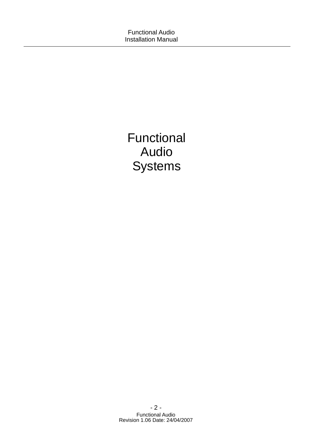Functional Audio **Systems**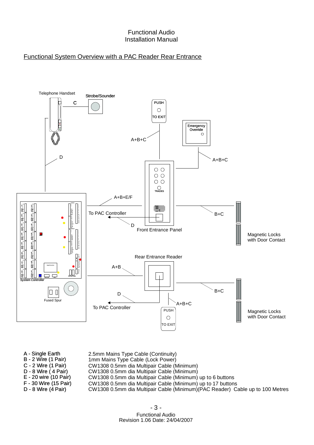### Functional System Overview with a PAC Reader Rear Entrance



- A Single Earth
- B-2 Wire (1 Pair) 2.5mm Mains Type Cable (Continuity) 1mm Mains Type Cable (Lock Power)
- C-2 Wire (1 Pair) CW1308 0.5mm dia Multipair Cable (Minimum)
- D-8 Wire(4 Pair) CW1308 0.5mm dia Multipair Cable (Minimum)
- E 20 wire (10 Pair) CW1308 0.5mm dia Multipair Cable (Minimum) up to 6 buttons
- F 30 Wire (15 Pair) CW1308 0.5mm dia Multipair Cable (Minimum) up to 17 buttons
- D-8 Wire (4 Pair)

Functional Audio Revision 1.06 Date: 24/04/2007

CW1308 0.5mm dia Multipair Cable (Minimum)(PAC Reader) Cable up to 100 Metres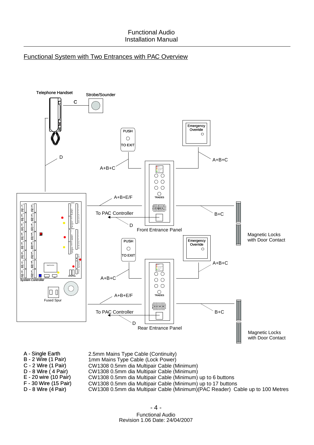### Functional System with Two Entrances with PAC Overview



A - Single Earth

- 2.5mm Mains Type Cable (Continuity)
- B-2 Wire (1 Pair) 1mm Mains Type Cable (Lock Power)
- C-2 Wire (1 Pair) D-8 Wire(4 Pair) CW1308 0.5mm dia Multipair Cable (Minimum) CW1308 0.5mm dia Multipair Cable (Minimum)
- E 20 wire (10 Pair)
	- CW1308 0.5mm dia Multipair Cable (Minimum) up to 6 buttons
- F 30 Wire (15 Pair) CW1308 0.5mm dia Multipair Cable (Minimum) up to 17 buttons
- D-8 Wire (4 Pair) CW1308 0.5mm dia Multipair Cable (Minimum)(PAC Reader) Cable up to 100 Metres

Functional Audio Revision 1.06 Date: 24/04/2007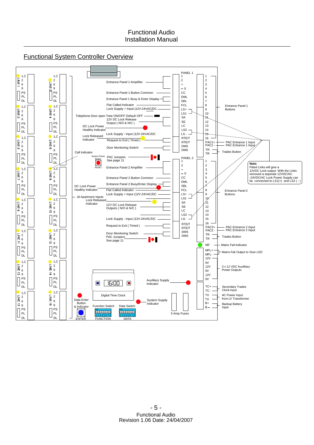

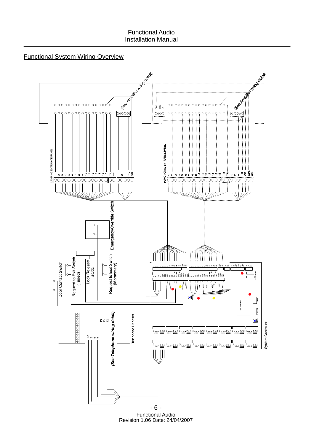## Functional System Wiring Overview

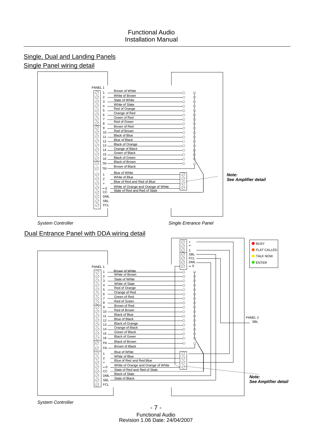

*System Controller*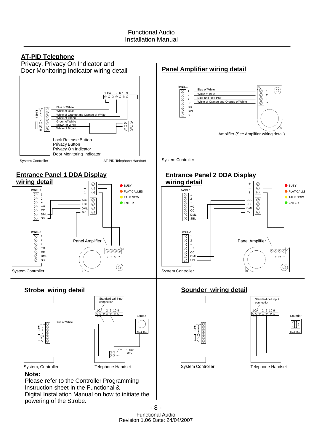

powering of the Strobe.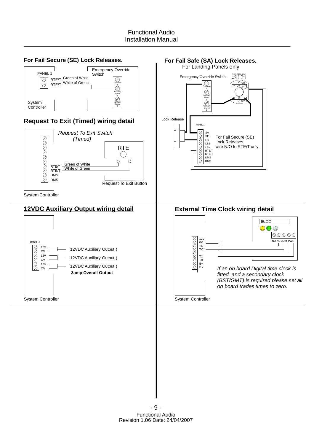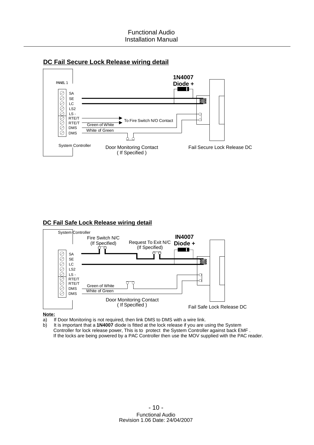



### **DC Fail Safe Lock Release wiring detail**



#### **Note:**

a) If Door Monitoring is not required, then link DMS to DMS with a wire link.

b) It is important that a 1N4007 diode is fitted at the lock release if you are using the System Controller for lock release power, This is to protect the System Controller against back EMF . If the locks are being powered by a PAC Controller then use the MOV supplied with the PAC reader.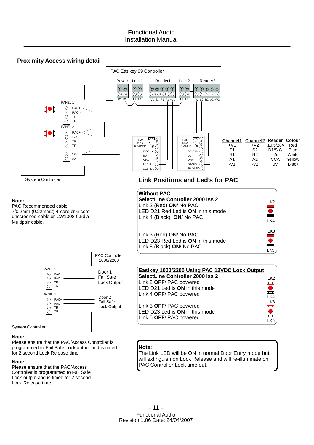



Please ensure that the PAC/Access Controller is programmed to Fail Safe Lock output and is timed for 2 second Lock Release time.

#### **Note:**

Please ensure that the PAC/Access Controller is programmed to Fail Safe Lock output and is timed for 2 second Lock Release time.

### **Note:**

The Link LED will be ON in normal Door Entry mode but will extinguish on Lock Release and will re-illuminate on PAC Controller Lock time out.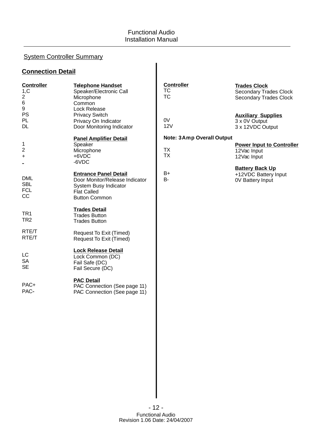# System Controller Summary

### **Connection Detail**

| <b>Controller</b><br>1,C<br>$\overline{a}$<br>$\,6$<br>$\boldsymbol{9}$ | <b>Telephone Handset</b><br>Speaker/Electronic Call<br>Microphone<br>Common<br>Lock Release                                           | <b>Controller</b><br><b>TC</b><br><b>TC</b>                | <b>Trades Clock</b><br><b>Secondary Trades Clock</b><br><b>Secondary Trades Clock</b> |
|-------------------------------------------------------------------------|---------------------------------------------------------------------------------------------------------------------------------------|------------------------------------------------------------|---------------------------------------------------------------------------------------|
| PS<br>PL<br><b>DL</b>                                                   | <b>Privacy Switch</b><br>Privacy On Indicator<br>Door Monitoring Indicator                                                            | 0V<br>12V                                                  | <b>Auxiliary Supplies</b><br>3 x 0V Output<br>3 x 12VDC Output                        |
| 1<br>$\overline{2}$<br>$\ddot{}$                                        | <b>Panel Amplifier Detail</b><br>Speaker<br>Microphone<br>$+6VDC$<br>-6VDC                                                            | <b>Note: 3Amp Overall Output</b><br><b>TX</b><br><b>TX</b> | <b>Power Input to Controller</b><br>12Vac Input<br>12Vac Input                        |
| <b>DML</b><br><b>SBL</b><br><b>FCL</b><br>CC                            | <b>Entrance Panel Detail</b><br>Door Monitor/Release Indicator<br>System Busy Indicator<br><b>Flat Called</b><br><b>Button Common</b> | B+<br>$B -$                                                | <b>Battery Back Up</b><br>+12VDC Battery Input<br><b>0V Battery Input</b>             |
| TR <sub>1</sub><br>TR <sub>2</sub>                                      | <b>Trades Detail</b><br><b>Trades Button</b><br><b>Trades Button</b>                                                                  |                                                            |                                                                                       |
| RTE/T<br>RTE/T                                                          | Request To Exit (Timed)<br>Request To Exit (Timed)                                                                                    |                                                            |                                                                                       |
| LC<br><b>SA</b><br><b>SE</b>                                            | <b>Lock Release Detail</b><br>Lock Common (DC)<br>Fail Safe (DC)<br>Fail Secure (DC)                                                  |                                                            |                                                                                       |
| PAC+<br>PAC-                                                            | <b>PAC Detail</b><br>PAC Connection (See page 11)<br>PAC Connection (See page 11)                                                     |                                                            |                                                                                       |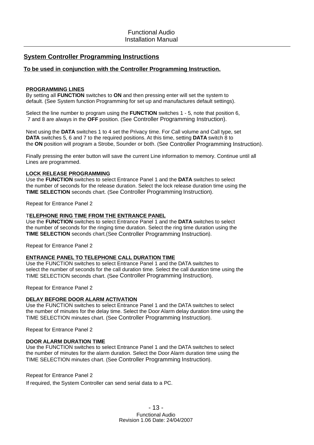### **System Controller Programming Instructions**

### **To be used in conjunction with the Controller Programming Instruction.**

#### **PROGRAMMING LINES**

By setting all FUNCTION switches to ON and then pressing enter will set the system to default. (See System function Programming for set up and manufactures default settings).

Select the line number to program using the **FUNCTION** switches 1 - 5, note that position 6, 7 and 8 are always in the OFF position. (See Controller Programming Instruction).

Next using the DATA switches 1 to 4 set the Privacy time. For Call volume and Call type, set **DATA** switches 5, 6 and 7 to the required positions. At this time, setting DATA switch 8 to the ON position will program a Strobe, Sounder or both. (See Controller Programming Instruction).

Finally pressing the enter button will save the current Line information to memory. Continue until all Lines are programmed.

#### **LOCK RELEASE PROGRAMMING**

Use the FUNCTION switches to select Entrance Panel 1 and the DATA switches to select the number of seconds for the release duration. Select the lock release duration time using the **TIME SELECTION** seconds chart. (See Controller Programming Instruction).

Repeat for Entrance Panel 2

#### **ELEPHONE RING TIME FROM THE ENTRANCE PANEL** T

Use the FUNCTION switches to select Entrance Panel 1 and the DATA switches to select the number of seconds for the ringing time duration. Select the ring time duration using the TIME SELECTION seconds chart. (See Controller Programming Instruction).

Repeat for Entrance Panel 2

#### **ENTRANCE PANEL TO TELEPHONE CALL DURATION TIME**

Use the FUNCTION switches to select Entrance Panel 1 and the DATA switches to select the number of seconds for the call duration time. Select the call duration time using the TIME SELECTION seconds chart. (See Controller Programming Instruction).

Repeat for Entrance Panel 2

### **DELAY BEFORE DOOR ALARM ACTIVATION**

Use the FUNCTION switches to select Entrance Panel 1 and the DATA switches to select the number of minutes for the delay time. Select the Door Alarm delay duration time using the TIME SELECTION minutes chart. (See Controller Programming Instruction).

Repeat for Entrance Panel 2

#### **DOOR ALARM DURATION TIME**

Use the FUNCTION switches to select Entrance Panel 1 and the DATA switches to select the number of minutes for the alarm duration. Select the Door Alarm duration time using the TIME SELECTION minutes chart. (See Controller Programming Instruction).

#### Repeat for Entrance Panel 2

If required, the System Controller can send serial data to a PC.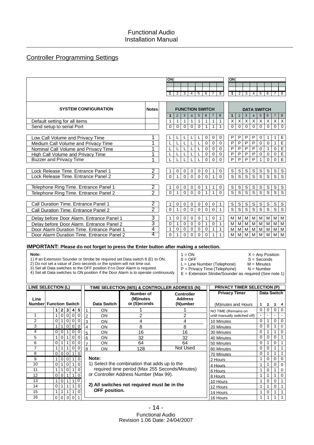### Controller Programming Settings

|                                            |                     | ON                  |                   |                        |                         |                |               |                |                   | ON                            |                               |                               |                               |                               |                               |                               |                                |
|--------------------------------------------|---------------------|---------------------|-------------------|------------------------|-------------------------|----------------|---------------|----------------|-------------------|-------------------------------|-------------------------------|-------------------------------|-------------------------------|-------------------------------|-------------------------------|-------------------------------|--------------------------------|
|                                            |                     |                     |                   |                        |                         |                |               |                |                   |                               |                               |                               |                               |                               |                               |                               |                                |
|                                            |                     |                     | $\overline{2}$    | $\overline{3}$         | $\overline{4}$          | $\overline{5}$ | 6             | $\overline{7}$ | $\overline{8}$    | $\mathbf 1$                   | $\overline{2}$                | $\overline{3}$                | $\overline{4}$ .              | $\overline{5}$                | $\overline{6}$                | 7                             | $\overline{8}$                 |
|                                            |                     |                     |                   |                        |                         |                |               |                |                   |                               |                               |                               |                               |                               |                               |                               |                                |
| <b>SYSTEM CONFIGURATION</b>                | <b>Notes</b>        |                     |                   | <b>FUNCTION SWITCH</b> |                         |                |               |                |                   |                               |                               |                               |                               | <b>DATA SWITCH</b>            |                               |                               |                                |
|                                            |                     | 1                   | $\overline{2}$    | 3                      | $\overline{4}$          | 5              | 6             | $\overline{7}$ | 8                 | 1                             | $\overline{2}$                | 3                             | 4                             | $\sqrt{5}$                    | 6                             | $\overline{7}$                | 8                              |
| Default setting for all items              |                     | $\mathbf{1}$        | $\mathbf{1}$      | $\mathbf{1}$           | $\mathbf{1}$            | $\mathbf{1}$   | $\mathbf{1}$  | $\mathbf{1}$   | 1                 | $\overline{\mathsf{x}}$       | $\overline{X}$                | X                             | $\vert X \vert$               | X                             | X                             | X                             | $\boldsymbol{X}$               |
| Send setup to serial Port                  |                     | $\mathbf 0$         | $\mathbf 0$       | $\Omega$               | $\Omega$                | $\Omega$       | 1             | 1              | $\mathbf{1}$      | $\overline{0}$                | $\mathbf 0$                   | $\mathbf 0$                   | $\mathbf{0}$                  | $\Omega$                      | $\Omega$                      | $\Omega$                      | $\Omega$                       |
|                                            |                     |                     |                   |                        |                         |                |               |                |                   |                               |                               |                               |                               |                               |                               |                               |                                |
| Low Call Volume and Privacy Time           |                     |                     |                   |                        |                         |                | $\mathbf 0$   | 0              | 0                 | $\mathsf{P}$                  | P                             | P                             | P                             | 0                             | $\mathbf{1}$                  | $\mathbf 1$                   | $\mathsf E$                    |
| Medium Call Volume and Privacy Time        | 1                   |                     | L                 |                        |                         |                | $\mathbf 0$   | $\mathbf 0$    | $\overline{0}$    | $\overline{P}$                | $\overline{P}$                | $\overline{P}$                | $\mathsf{P}$                  | $\pmb{0}$                     | $\mathbf 0$                   | $\mathbf{1}$                  | $\frac{E}{E}$ $\frac{E}{E}$    |
| Nominal Call Volume and Privacy Time       | 1                   |                     | L                 |                        |                         |                | $\mathbf 0$   | $\mathbf 0$    | $\mathbf 0$       | $\overline{P}$                | $\overline{P}$                | $\overline{P}$                | $\overline{P}$                | $\mathbf 0$                   | $\mathbf{1}$                  | $\mathbf 0$                   |                                |
| <b>High Call Volume and Privacy Time</b>   | 1                   | L                   | L                 | L                      |                         |                | $\mathbf 0$   | $\mathbf 0$    | 0                 | $\overline{P}$                | $\overline{P}$                | $\overline{P}$                | $\overline{P}$                | $\mathbf 0$                   | $\mathbf 0$                   | $\mathbf 0$                   |                                |
| <b>Buzzer and Privacy Time</b>             | 1                   |                     |                   |                        |                         |                | $\Omega$      | $\Omega$       | $\Omega$          | $\overline{P}$                | $\overline{P}$                | P                             | P                             | $\mathbf{1}$                  | $\mathbf 0$                   | $\mathbf 0$                   |                                |
|                                            |                     |                     |                   |                        |                         |                |               |                |                   |                               |                               |                               |                               |                               |                               |                               |                                |
| Lock Release Time. Entrance Panel 1        | 2                   | 1                   | 0                 | $\mathbf 0$            | $\mathbf 0$             | 0              | 0             | 1              | $\mathbf 0$       | $\mathbb S$                   | $\mathsf S$                   | S                             | S                             | S                             | S                             | S                             | $\mathsf S$                    |
| Lock Release Time. Entrance Panel 2        | $\overline{2}$      | $\Omega$            | $\mathbf{1}$      | $\Omega$               | $\Omega$                | $\Omega$       | $\Omega$      | 1              | $\Omega$          | $\overline{s}$                | S                             | S                             | S                             | S                             | S                             | S                             | $\overline{s}$                 |
|                                            |                     |                     |                   |                        |                         |                |               |                |                   |                               |                               |                               |                               |                               |                               |                               |                                |
| Telephone Ring Time. Entrance Panel 1      | 2<br>$\overline{2}$ | 1                   | 0<br>$\mathbf{1}$ | 0                      | 0                       | 0              | 1             | 1              | 0<br>$\Omega$     | $\frac{s}{s}$                 | $\frac{s}{s}$                 | $\frac{s}{s}$                 | S<br>$\overline{s}$           | S<br>$\overline{s}$           | S<br>$\overline{s}$           | S<br>$\overline{s}$           | $\frac{s}{s}$                  |
| Telephone Ring Time. Entrance Panel 2      |                     | $\mathbf 0$         |                   | $\Omega$               | $\Omega$                | $\Omega$       | $\mathbf{1}$  | $\mathbf{1}$   |                   |                               |                               |                               |                               |                               |                               |                               |                                |
|                                            | $\overline{2}$      |                     |                   |                        |                         |                |               |                |                   |                               |                               |                               |                               |                               |                               |                               |                                |
| Call Duration Time, Entrance Panel 1       | $\overline{2}$      | 1<br>$\overline{0}$ | 0<br>$\mathbf{1}$ | 0                      | $\mathbf 0$<br>$\Omega$ | 0              | 0<br>$\Omega$ | 0<br>$\Omega$  | 1<br>$\mathbf{1}$ | $\mathbb S$<br>$\overline{s}$ | $\mathbb S$<br>$\overline{s}$ | $\mathbb S$<br>$\overline{s}$ | $\mathbb S$<br>$\overline{s}$ | $\mathsf S$<br>$\overline{s}$ | $\mathbb S$<br>$\overline{s}$ | $\mathbb S$<br>$\overline{s}$ | $\mathsf{s}$<br>$\overline{s}$ |
| Call Duration Time, Entrance Panel 2       |                     |                     |                   | $\Omega$               |                         | $\Omega$       |               |                |                   |                               |                               |                               |                               |                               |                               |                               |                                |
| Delay before Door Alarm. Entrance Panel 1  | 3                   | 1                   | 0                 | 0                      | $\mathbf 0$             | 0              | 1             | 0              | 1                 | м                             | М                             | М                             | М                             | M                             | M                             | М                             | M                              |
| Delay before Door Alarm. Entrance Panel 2  | $\overline{3}$      | $\mathbf 0$         | $\mathbf{1}$      | $\mathbf 0$            | $\mathbf 0$             | $\mathbf{0}$   | $\mathbf{1}$  | $\Omega$       | $\mathbf{1}$      | M                             | $\overline{M}$                | M                             | $\overline{M}$                | M                             | M                             | M                             | M                              |
| Door Alarm Duration Time. Entrance Panel 1 | 4                   | $\mathbf{1}$        | 0                 | 0                      | $\mathbf 0$             | 0              | 0             | 1              | 1                 | M                             | M                             | M                             | M                             | M                             | M                             | M                             | M                              |
| Door Alarm Duration Time. Entrance Panel 2 | 4                   | $\Omega$            | $\mathbf{1}$      | $\Omega$               | $\Omega$                | $\Omega$       | $\Omega$      | 1              | $\mathbf{1}$      | M                             | M                             | M                             | M                             | M                             | M                             | M                             | M                              |
|                                            |                     |                     |                   |                        |                         |                |               |                |                   |                               |                               |                               |                               |                               |                               |                               |                                |

### **IMPORTANT: Please do not forget to press the Enter button after making a selection.**

#### **Note:**

1) If an Extension Sounder or Strobe be required set Data switch 8 (E) to ON.

2) Do not set a value of Zero seconds or the system will not time out.

3) Set all Data switches to the OFF position if no Door Alarm is required.

 $L =$  Line Number (Telephone)

 $1 = ON$ <br>  $0 = OFF$ <br>  $S = Seconds$ 

 $S = Seconds$ <br> $M = Minutes$ 

E = Extension Strobe/Sounder as required (See note 1) 4) Set all Data switches to ON position if the Door Alarm is to operate continuously.

P = Privacy Time (Telephone) N = Number

| LINE SELECTION (L)                    |          |                            |             |          |                |                    | TIME SELECTION (M/S) & CONTROLLER ADDRESS (N)  | <b>PRIVACY TIMER SELECTION (P)</b>              |                                             |          |                  |   |             |
|---------------------------------------|----------|----------------------------|-------------|----------|----------------|--------------------|------------------------------------------------|-------------------------------------------------|---------------------------------------------|----------|------------------|---|-------------|
| Line<br><b>Number Function Switch</b> |          |                            |             |          |                | <b>Data Switch</b> | Number of<br>(M)inutes<br>or (S)econds         | <b>Controller</b><br><b>Address</b><br>(N)umber | <b>Privacy Timer</b><br>(M)inutes and Hours |          | Data Switch<br>2 | 3 | 4           |
|                                       |          | $\mathbf{2}$<br>3          | 4           | 5        | 1              | <b>ON</b>          |                                                |                                                 | NO TIME (Remains on                         | 0        | 0                | 0 | $\Omega$    |
| 1                                     |          | $\Omega$<br>0              |             |          | $\overline{2}$ | <b>ON</b>          | 2                                              | 2                                               | until manually switched off)                |          |                  |   |             |
| 2                                     | 0        | 0                          | 0           | 0        | 3              | ON                 | 4                                              | 4                                               | 10 Minutes                                  | $\Omega$ |                  | 0 | $\mathbf 0$ |
| 3                                     |          | 1<br>0                     | $\mathbf 0$ | 0        | 4              | ON.                | 8                                              | 8                                               | 20 Minutes                                  | $\Omega$ | 0                |   | $\mathbf 0$ |
| 4                                     | 0        | 0                          | 0           | 0        | 5              | ON                 | 16                                             | 16                                              | 30 Minutes                                  | $\Omega$ |                  |   | $\Omega$    |
| 5                                     |          | 0                          | $\mathbf 0$ | 0        | 6              | ON                 | 32                                             | 32                                              | 40 Minutes                                  | 0        | 0                | 0 |             |
| 6                                     | 0        |                            | $\Omega$    | 0        | $\overline{7}$ | ON                 | 64                                             | 64                                              | 50 Minutes                                  | 0        |                  | 0 |             |
| 7                                     |          |                            |             |          | 8              | <b>ON</b>          | 128                                            | Not Used                                        | 60 Minutes                                  | 0        |                  |   |             |
| 8                                     | $\Omega$ | $\mathbf 0$<br>0           |             | $\Omega$ |                |                    |                                                |                                                 | 70 Minutes                                  | 0        |                  |   |             |
| 9                                     |          | $\mathbf 0$<br>0           |             | 0        |                | Note:              |                                                |                                                 | 2 Hours                                     | 1        | 0                | 0 | $\Omega$    |
| 10                                    | $\Omega$ |                            |             | $\Omega$ |                |                    | 1) Select the combination that adds up to the  |                                                 | 4 Hours                                     | 1        |                  | 0 | $\Omega$    |
| 11                                    |          | 0                          |             | 0        |                |                    | required time period (Max 255 Seconds/Minutes) |                                                 | 6 Hours                                     | 1        | 0                |   | 0           |
| 12                                    | 0        | $\Omega$                   |             | $\Omega$ |                |                    | or Controller Address Number (Max 99).         |                                                 | 8 Hours                                     | 1        |                  |   | $\Omega$    |
| 13                                    |          | 0                          |             |          |                |                    |                                                |                                                 | 10 Hours                                    | 1        | 0                | 0 |             |
| 14                                    | 0        |                            |             | 0        |                |                    | 2) All switches not required must be in the    |                                                 | 12 Hours                                    | 1        |                  | 0 |             |
| 15                                    | 1        | 1                          |             | $\Omega$ |                | OFF position.      |                                                |                                                 | 14 Hours                                    | 1        | 0                |   |             |
| 16                                    | 0        | $\mathbf 0$<br>$\mathbf 0$ | 0           |          |                |                    |                                                |                                                 | 16 Hours                                    | 1        |                  |   |             |
|                                       |          |                            |             |          |                |                    |                                                |                                                 |                                             |          |                  |   |             |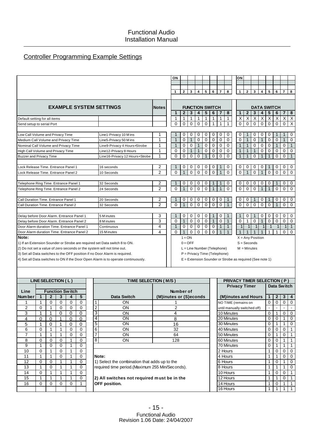# Controller Programming Example Settings

|                                                                                   |                                |                | ON           |                        |                         |                         |             |              |                                                            | ON           |                    |              |                |                |              |                |                         |
|-----------------------------------------------------------------------------------|--------------------------------|----------------|--------------|------------------------|-------------------------|-------------------------|-------------|--------------|------------------------------------------------------------|--------------|--------------------|--------------|----------------|----------------|--------------|----------------|-------------------------|
|                                                                                   |                                |                |              |                        |                         |                         |             |              |                                                            |              |                    |              |                |                |              |                |                         |
|                                                                                   |                                |                |              |                        |                         |                         |             |              |                                                            |              |                    |              |                |                |              |                |                         |
|                                                                                   |                                |                | $\mathbf{1}$ | $\overline{2}$         | $\overline{\mathbf{3}}$ | $\overline{\mathbf{4}}$ | 5           | 6            | $\overline{7}$<br>8                                        | $\mathbf{1}$ | $\overline{2}$     | 3            | $\overline{4}$ | 5              | 6            | $\overline{7}$ | 8                       |
|                                                                                   |                                |                |              |                        |                         |                         |             |              |                                                            |              |                    |              |                |                |              |                |                         |
| <b>EXAMPLE SYSTEM SETTINGS</b>                                                    |                                | <b>Notes</b>   |              | <b>FUNCTION SWITCH</b> |                         |                         |             |              |                                                            |              | <b>DATA SWITCH</b> |              |                |                |              |                |                         |
|                                                                                   |                                |                | $\mathbf 1$  | $\overline{2}$         | 3                       | 4                       | 5           | 6            | 8<br>7                                                     |              | $\overline{2}$     | 3            | 4              | 5              | 6            | $\overline{7}$ | 8                       |
| Default setting for all items                                                     |                                |                | 1            | $\mathbf{1}$           | 1                       | 1                       | 1           | 1            | $\mathbf{1}$<br>1                                          | Χ            | X                  | X            | $\times$       | $\times$       | X            | X              | $\overline{\mathsf{x}}$ |
| Send setup to serial Port                                                         |                                |                | 0            | $\mathbf 0$            | 0                       | 0                       | 0           | 1            | 1<br>1                                                     | $\Omega$     | $\Omega$           | $\Omega$     | $\Omega$       | $\mathbf 0$    | $\mathbf 0$  | $\mathbf 0$    | $\overline{\mathsf{x}}$ |
|                                                                                   |                                |                |              |                        |                         |                         |             |              |                                                            |              |                    |              |                |                |              |                |                         |
| Low Call Volume and Privacy Time                                                  | Line1-Privacy 10 M ins         | 1              |              | 0                      | 0                       | 0                       | 0           | 0            | 0<br>0                                                     | 0            |                    | 0            | 0              | 0              | 1            | 1              | 0                       |
| Medium Call Volume and Privacy Time                                               | Line5-Privacy 50 M ins         | 1              | $\mathbf 1$  | $\mathbf 0$            | $\mathbf{1}$            | 0                       | 0           | $\mathbf 0$  | $\mathbf 0$<br>$\mathbf 0$                                 | 0            | 1                  | 0            | $\mathbf 1$    | $\mathbf 0$    | $\mathbf 0$  | $\mathbf{1}$   | $\mathbf 0$             |
| Nominal Call Volume and Privacy Time                                              | Line9-Privacy 4 Hours+Strobe   | 1              | $\mathbf 1$  | $\Omega$               | 0                       | $\mathbf 1$             | 0           | 0            | 0<br>0                                                     | $\mathbf{1}$ | $\mathbf 1$        | 0            | 0              | 0              | $\mathbf{1}$ | 0              | $\mathbf{1}$            |
| High Call Volume and Privacy Time                                                 | Line12-Privacy 8 Hours         | 1              | 0            | $\mathbf 0$            | 1                       |                         | 0           | 0            | $\mathbf 0$<br>0                                           | 1            |                    | 1            | 0              | 0              | 0            | 0              | 0                       |
| <b>Buzzer and Privacy Time</b>                                                    | Line16-Privacy 12 Hours+Strobe | 1              | $\Omega$     | $\Omega$               | $\Omega$                | $\Omega$                |             | $\Omega$     | $\Omega$<br>$\Omega$                                       | $\mathbf{1}$ |                    | $\Omega$     |                | $\mathbf 1$    | $\mathbf 0$  | $\mathbf 0$    | $\mathbf{1}$            |
|                                                                                   |                                |                |              |                        |                         |                         |             |              |                                                            |              |                    |              |                |                |              |                |                         |
| Lock Release Time, Entrance Panel 1                                               | 16 seconds                     | 2              |              | 0                      | 0                       | 0                       | 0           | 0            | 0                                                          | 0            | 0                  | 0            | 0              | 1              | 0            | 0              | 0                       |
| Lock Release Time, Entrance Panel 2                                               | 10 Seconds                     | $\mathfrak{p}$ | $\Omega$     | $\mathbf{1}$           | $\Omega$                | $\Omega$                | $\Omega$    | $\Omega$     | $\Omega$                                                   | $\Omega$     |                    | $\Omega$     |                | $\Omega$       | $\Omega$     | $\Omega$       | $\Omega$                |
|                                                                                   |                                |                |              |                        |                         |                         |             |              |                                                            |              |                    |              |                |                |              |                |                         |
| Telephone Ring Time. Entrance Panel 1                                             | 32 Seconds                     | 2              |              | 0                      | 0                       | 0                       | 0           |              | $\mathbf 0$                                                | 0            | 0                  | 0            | 0              | 0              |              | $\mathbf 0$    | $\mathbf 0$             |
| Telephone Ring Time. Entrance Panel 2                                             | 24 Seconds                     | $\overline{2}$ | $\Omega$     | 1                      | $\Omega$                | $\Omega$                | $\Omega$    | $\mathbf 1$  | $\Omega$<br>$\mathbf 1$                                    | $\Omega$     | $\Omega$           | $\Omega$     | $\mathbf{1}$   | $\overline{1}$ | $\Omega$     | $\mathbf 0$    | $\Omega$                |
|                                                                                   |                                |                |              |                        |                         |                         |             |              |                                                            |              |                    |              |                |                |              |                |                         |
| Call Duration Time, Entrance Panel 1                                              | 20 Seconds                     | 2              |              | 0                      | 0                       | 0                       | 0           | 0            | 0                                                          | 0            | 0                  |              | 0              | $\mathbf 1$    | 0            | 0              | $\mathbf 0$             |
| Call Duration Time, Entrance Panel 2                                              | 32 Seconds                     | $\overline{2}$ | $\Omega$     | 1                      | $\Omega$                | $\Omega$                | $\Omega$    | $\Omega$     | $\Omega$                                                   | $\Omega$     | $\Omega$           | $\Omega$     | $\Omega$       | $\Omega$       | $\mathbf{1}$ | $\Omega$       | $\Omega$                |
|                                                                                   |                                |                |              |                        |                         |                         |             |              |                                                            |              |                    |              |                |                |              |                |                         |
| Delay before Door Alarm. Entrance Panel 1                                         | 5 M inutes                     | 3              |              | $\Omega$               | $\mathbf 0$             | 0                       | 0           |              | 0                                                          |              | 0                  |              | 0              | 0              | $\mathbf 0$  | 0              | 0                       |
| Delay before Door Alarm. Entrance Panel 2                                         | 8 M inutes                     | 3              | $\Omega$     | 1                      | $\mathbf 0$             | $\mathbf 0$             | $\mathbf 0$ | $\mathbf{1}$ | $\mathbf 0$<br>1                                           | $\Omega$     | 1                  | $\Omega$     | $\mathbf{1}$   | $\Omega$       | $\mathbf 0$  | $\Omega$       | $\Omega$                |
| Door Alarm duration Time, Entrance Panel 1                                        | Continuous                     | 4              | 1            | $\Omega$               | $\mathbf 0$             | $\Omega$                | $\Omega$    | $\mathbf 0$  | $\mathbf{1}$<br>1                                          |              | 1                  | $\mathbf{1}$ | $\mathbf{1}$   | 1              | $\mathbf{1}$ | 1              | $\overline{1}$          |
| Door Alarm duration Time, Entrance Panel 2                                        | 15 M inutes                    | 4              | $\Omega$     | $\mathbf{1}$           | $\mathbf 0$             | $\mathbf 0$             | $\Omega$    | $\Omega$     | $\mathbf{1}$                                               | $\mathbf{1}$ | $\mathbf{1}$       | $\mathbf{1}$ | $\mathbf{1}$   | $\mathbf{1}$   | 1            | $\mathbf 0$    | $\Omega$                |
| Note:                                                                             |                                |                |              | $1 = ON$               |                         |                         |             |              |                                                            |              | $X = Any Position$ |              |                |                |              |                |                         |
| 1) If an Extension Sounder or Strobe are required set Data switch 8 to ON.        |                                |                |              | $0 =$ OFF              |                         |                         |             |              |                                                            |              | $S =$ Seconds      |              |                |                |              |                |                         |
| 2) Do not set a value of zero seconds or the system will not time out.            |                                |                |              |                        |                         |                         |             |              | L = Line Number (Telephone)                                |              | $M =$ Minutes      |              |                |                |              |                |                         |
| 3) Set all Data switches to the OFF position if no Door Alarm is required.        |                                |                |              |                        |                         |                         |             |              | P = Privacy Time (Telephone)                               |              |                    |              |                |                |              |                |                         |
| 4) Set all Data switches to ON if the Door Open Alarm is to operate continuously. |                                |                |              |                        |                         |                         |             |              | $E =$ Extension Sounder or Strobe as required (See note 1) |              |                    |              |                |                |              |                |                         |
|                                                                                   |                                |                |              |                        |                         |                         |             |              |                                                            |              |                    |              |                |                |              |                |                         |
|                                                                                   |                                |                |              |                        |                         |                         |             |              |                                                            |              |                    |              |                |                |              |                |                         |

|                 | LINE SELECTION (L) |          |          |                             |   |                | TIME SELECTION (M/S)                             |                                  |
|-----------------|--------------------|----------|----------|-----------------------------|---|----------------|--------------------------------------------------|----------------------------------|
| Line<br>Num ber | 1                  | 2        | 3        | <b>Function Switch</b><br>4 | 5 |                | <b>Data Switch</b>                               | <b>Number</b><br>(M)inutes or (9 |
|                 | 1                  | 0        | 0        | 0                           | 0 |                | OΝ                                               |                                  |
| $\overline{2}$  | $\Omega$           | 1        | $\Omega$ | $\Omega$                    | 0 | 2              | OΝ                                               | $\overline{2}$                   |
| 3               | 1                  | 1        | 0        | 0                           | 0 | 3              | OΝ                                               | 4                                |
| 4               | 0                  | 0        | 1        | 0                           | 0 | 4              | ON                                               | 8                                |
| 5               | 1                  | 0        | 1        | 0                           | 0 | 5              | OΝ                                               | 16                               |
| 6               | 0                  | 1        | 1        | 0                           | 0 | 6              | OΝ                                               | 32                               |
| 7               | 1                  | 1        | 1        | 0                           | 0 | $\overline{7}$ | OΝ                                               | 64                               |
| 8               | $\Omega$           | 0        | 0        | 1                           | 0 | 8              | OΝ                                               | 128                              |
| 9               | 1                  | 0        | 0        | 1                           | 0 |                |                                                  |                                  |
| 10              | 0                  | 1        | $\Omega$ | 1                           | 0 |                |                                                  |                                  |
| 11              | 1                  | 1        | 0        | 1                           | 0 |                | Note:                                            |                                  |
| 12              | 0                  | 0        | 1        | 1                           | 0 |                | 1) Select the combination that adds up to the    |                                  |
| 13              | 1                  | 0        | 1        | 1                           | 0 |                | required time period. (Maximum 255 Min/Seconds). |                                  |
| 14              | $\Omega$           | 1        | 1        | 1                           | 0 |                |                                                  |                                  |
| 15              | 1                  | 1        | 1        | 1                           | 0 |                | 2) All switches not required must be in the      |                                  |
| 16              | $\Omega$           | $\Omega$ | $\Omega$ | 0                           | 1 |                | OFF position.                                    |                                  |
|                 |                    |          |          |                             |   |                |                                                  |                                  |

|         |   | LINE SELECTION (L)     |   |   |   | TIME SELECTION (M/S) |                        | <b>PRIVACY TIMER SELECTION (P)</b> |   |   |                    |     |
|---------|---|------------------------|---|---|---|----------------------|------------------------|------------------------------------|---|---|--------------------|-----|
| Line    |   | <b>Function Switch</b> |   |   |   |                      | Number of              | <b>Privacy Timer</b>               |   |   | <b>Data Switch</b> |     |
| Num ber |   |                        |   |   |   | <b>Data Switch</b>   | (M)inutes or (S)econds | (M)inutes and Hours                |   | 2 | $\mathbf{3}$       | l 4 |
|         |   |                        | O |   |   | ON                   |                        | NO TIME (remains on                | 0 |   | 0                  | - 0 |
| 2       |   |                        |   |   |   | ON                   |                        | until manually switched off)       |   |   |                    |     |
| 3       |   |                        |   |   | 3 | ON                   |                        | 10 Minutes                         | 0 |   | 0                  | - 0 |
|         |   |                        |   |   |   | ON                   |                        | 20 Minutes                         | 0 |   |                    |     |
| 5       |   |                        |   |   | 5 | ON                   | 16                     | 30 Minutes                         | 0 |   |                    |     |
| 6       | 0 |                        |   |   | 6 | ON                   | 32                     | 40 Minutes                         | 0 | 0 |                    |     |
|         |   |                        | 0 | 0 |   | ON                   | 64                     | 50 Minutes                         | 0 |   | $\Omega$           |     |
| 8       |   |                        |   |   | 8 | ON.                  | 128                    | 60 Minutes                         | 0 |   |                    |     |
| 9       |   |                        |   |   |   |                      |                        | 70 Minutes                         | 0 |   |                    |     |
|         |   |                        |   |   |   |                      |                        |                                    |   |   |                    |     |

|                |          | LINE SELECTION (L)     |          |          |          |                | <u>I IME SELECTION (MIS)</u>                    |                        | <b>PRIVACT TIMER SELECTION (P)</b> |                |             |   |          |
|----------------|----------|------------------------|----------|----------|----------|----------------|-------------------------------------------------|------------------------|------------------------------------|----------------|-------------|---|----------|
|                |          |                        |          |          |          |                |                                                 |                        | <b>Privacy Timer</b>               |                | Data Switch |   |          |
| ine            |          | <b>Function Switch</b> |          |          |          |                |                                                 | Number of              |                                    |                |             |   |          |
| nber           |          | 2                      | 3        |          | 5        |                | Data Switch                                     | (M)inutes or (S)econds | (M)inutes and Hours                |                | $\mathbf 2$ | 3 | -4       |
|                |          | $\Omega$               | 0        |          | 0        |                | ON                                              |                        | NO TIME (remains on                | 0              | 0           | 0 | $\Omega$ |
| $\overline{2}$ | 0        |                        | 0        |          | 0        |                | ON                                              |                        | until manually switched off)       | $\blacksquare$ |             |   |          |
| $\overline{3}$ |          |                        |          | $\Omega$ | 0        | 3              | ON                                              |                        | 10 Minutes                         | $\mathbf 0$    |             | 0 |          |
| $\overline{4}$ | 0        | 0                      |          | $\Omega$ | 0        | 4              | ON                                              | 8                      | 20 Minutes                         | 0              | 0           |   |          |
| $\overline{5}$ |          | 0                      |          | 0        | 0        | 5              | ON                                              | 16                     | 30 Minutes                         | 0              |             |   |          |
| 6              | 0        |                        |          | 0        | $\Omega$ | 6              | ON                                              | 32                     | 40 Minutes                         | 0              | $\Omega$    | 0 |          |
| 7              |          |                        |          |          | $\Omega$ |                | ON                                              | 64                     | 50 Minutes                         | 0              |             | 0 |          |
| 8              | $\Omega$ | $\Omega$               | 0        |          | $\Omega$ | 8 <sup>1</sup> | <b>ON</b>                                       | 128                    | 60 Minutes                         | 0              | $\Omega$    |   |          |
| 9              |          | 0                      | 0        |          | 0        |                |                                                 |                        | 70 Minutes                         | 0              |             |   |          |
| 10             | $\Omega$ |                        | 0        |          | $\Omega$ |                |                                                 |                        | 2 Hours                            |                | 0           |   |          |
| 11             |          |                        | 0        |          | $\Omega$ |                | Note:                                           |                        | 4 Hours                            |                |             | 0 |          |
| 12             | 0        | 0                      |          |          | $\Omega$ |                | 1) Select the combination that adds up to the   |                        | 6 Hours                            |                | $\Omega$    |   |          |
| 13             |          | 0                      |          |          | $\Omega$ |                | required time period.(Maximum 255 Min/Seconds). |                        | 8 Hours                            |                |             |   |          |
| 14             | 0        |                        |          |          | 0        |                |                                                 |                        | 10 Hours                           |                | $\Omega$    | 0 |          |
| 15             |          |                        |          |          | $\Omega$ |                | 2) All switches not required must be in the     |                        | 12 Hours                           | 1              |             | 0 |          |
| 16             | 0        | $\Omega$               | $\Omega$ | $\Omega$ |          |                | OFF position.                                   |                        | 14 Hours                           |                | 0           |   |          |
|                |          |                        |          |          |          |                |                                                 |                        | 16 Hours                           |                |             |   |          |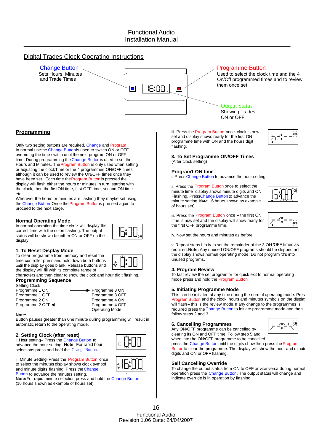### Digital Trades Clock Operating Instructions



### **Programming**

Only two setting buttons are required, Change and Program. In normal usethe Change Buttonis used to switch ON or OFF overriding the time switch until the next program ON or OFF time. During programming the Change Button is used to set the Hours and Minutes. The Program Button is only used when setting or adjusting the clockTime or the 4 programmed ON/OFF times, although it can be used to review the ON/OFF times once they have been set.. Each time the Program Buttonis pressed the display will flash either the hours or minutes in turn, starting with the clock, then the firstON time, first OFF time, second ON time etc.

Wherever the hours or minutes are flashing they maybe set using the Change Button. Once the Program Buttonis pressed again to proceed to the next stage.

#### **Normal Operating Mode**

In normal operation the time clock will display the correct time with the colon flashing. The output status will be shown be either ON or OFF on the display.



To clear programme from memory and reset the time controller press and hold down both buttons until the display goes blank. Release buttons and the display will fill with its complete range of

characters and then clear to show the clock and hour digit flashing. **Programming Sequence**

#### Setting Clock



#### **Note:**

Button pauses greater than 0ne minute during programming will result in automatic return to the operating mode.

Programme 3 OFF<br>Programme 4 ON

Operating Mode

#### **2. Setting Clock (after reset)**

i. Hour setting– Press the Change Button to advance the hour setting. **Note:** For rapid hour selections press and hold the Change Button.

ii. Minute Setting- Press the Program Button once to select the minutes display shows clock symbol and minute digits flashing. Press the Change Button to advance the minutes setting.

**Note:**For rapid minute selection press and hold the Change Button (16 hours shown as example of hours set).

iii. Press the Program Button once-clock is now set and display shows ready for the first ON programme time with ON and the hours digit flashing.



#### **3. To Set Programme ON/OFF Times** (After clock setting)

#### **Program1 ON time**

i. Press Change Button to advance the hour setting.

ii. Press the Program Button once to select the minute time–display shows minute digits and ON Flashing. PressChange Button to advance the minute setting.**Note:**16 hours shown as example of hours set).



iii. Press the Program Button once – the first ON time is now set and the display will show ready for the first OFF programme time.



iv. Now set the hours and minutes as before.

v. Repeat steps I to iv to set the remainder of the 3 ON /OFF times as required.**Note:** Any unused ON/OFF programs should be skipped until the display shows normal operating mode. Do not program '0's into unused programs.

#### **4. Program Review**

To fast review the set program or for quick exit to normal operating mode press and hold the Program Button

#### **5. Initiating Programme Mode**

This can be initiated at any time during the normal operating mode. Pres Program Button and the clock, hours and minutes symbols on the display will flash–this is the review mode. If any change to the programmes is required press theChange Button to initiate programme mode and then follow steps 2 and 3.

#### **6. Cancelling Programmes**

Any ON/OFF programme can be cancelled by clearing its ON and OFF time. Follow step 5 and



when into the ON/OFF programme to be cancelled press the Change Button until the digits show then press the Program

Buttonto clear the programme. The display will show the hour and minute digits and ON or OFF flashing.

#### **Self Cancelling Override**

To change the output status from ON to OFF or vice versa during normal operation press the Change Button. The output status will change and indicate override is in operation by flashing.

- 16 - Functional Audio Revision 1.06 Date: 24/04/2007



.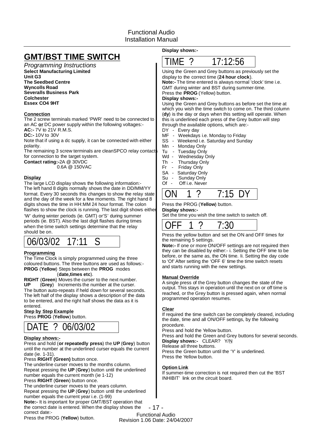# **GMT/BST TIME SWITCH**

*Programming Instructions* **Select Manufacturing Limited Unit G3 The Seedbed Centre Wyncolls Road Severalls Business Park Colchester Essex CO4 9HT**

#### **Connection**

The 2 screw terminals marked 'PWR'need to be connected to an AC or DC power supply within the following voltages:-

**AC:-** 7V to 21V R.M.S.

**DC:-10V to 30V** 

Note that if using a dc supply, it can be connected with either polarity.

The remaining 3 screw terminals are cleanSPCO relay contact for connection to the target system.

**Contact rating:-2A @ 30VDC** 

0.6A @ 150VAC

#### **Display**

The large LCD display shows the following information:- The left hand 8 digits normally shows the date in DD/MM/YY format. Every 30 seconds this changes to show the relay state and the day of the week for a few moments. The right hand 8 digits shows the time in HH:MM 24 hour format. The colon flashes to show the clock is running. The last digit shows either 'W' during winter periods (ie. GMT) or'S' during summer periods (ie. BST). Also the last digit flashes during times when the time switch settings determine that the relay should be on.



#### **Programming**

The Time Clock is simply programmed using the three coloured buttons. The three buttons are used as follows:- **PROG** (Yellow) Steps between the PROG modes

( ). **date,times etc**

RIGHT (Green) Moves the curser to the next number. UP (Grey) Increments the number at the curser. The button auto-repeats if held down for several seconds. The left half of the display shows a description of the data to be entered, and the right half shows the data as it is entered.

### **Step by Step Example**

Press PROG (Yellow) button.

# DATE ? 06/03/02

#### **Display shows:-**

**Press and hold (or repeatedly press) the UP (Grey) button** until the number at the underlined curser equals the current date (ie. 1-31).

Press RIGHT (Green) button once.

The underline curser moves to the months column. Repeat pressing the UP (Grey) button until the underlined number equals the current month (ie 1-12)

Press RIGHT (Green) button once.

The underline curser moves to the years column.

Repeat pressing the UP (Grey) button until the underlined

number equals the current year i.e. (1-99)

Note:- It is important for proper GMT/BST operation that the correct date is entered. When the display shows the correct date:-

Press the PROG (Yellow) button.

**Display shows:-**



display to the correct time (24 hour clock). Using the Green and Grey buttons as previously set the

**Note:-** The time entered is always normal 'clock'time i.e. Press the **PROG** (Yellow) button. GMT during winter and BST during summer-time.

#### **Display shows:-**

(dy) is the day or days when this setting will operate. When Using the Green and Grey buttons as before set the time at which you wish the time switch to come on. The third column this is underlined each press of the Grey button will step through the available options, which are:-

DY - Every day

- MF Weekdays i.e. Monday to Friday
- SS Weekend i.e. Saturday and Sunday
- Mn Monday Only
	-
- Tu Tuesday Only<br>Wd Wednesdav C Wednesday Only
- Th Thursday Only
- Fr Friday Only
- SA Saturday Only
- Su Sunday Only
- Of Off i.e. Never

|--|

#### Press the PROG (Yellow) button.

#### **Display shows:-**

Set the time you wish the time switch to switch off.

|--|--|--|--|

Press the yellow button and set the ON and OFF times for the remaining 5 settings.

Note:- If one or more ON/OFF settings are not required then they can be disabled by either:- i. Setting the OFF time to be before, or the same as, the ON time. Ii. Setting the day code to 'Of' After setting the 'OFF 6' time the time switch resets and starts running with the new settings.

#### **Manual Override**

A single press of the Grey button changes the state of the output. This stays in operation until the next on or off time is reached, or the Grey button is pressed again, when normal programmed operation resumes.

#### **Clear**

If required the time switch can be completely cleared, including the date, time and all ON/OFF settings, by the following procedure.

Press and hold the Yellow button.

Press and hold the Green and Grey buttons for several seconds. **Display shows:-** CLEAR? Y/N

Release all three buttons.

Press the Green button until the 'Y' is underlined. Press the Yellow button.

#### **Option Link**

If summer-time correction is not required then cut the 'BST INHIBIT' link on the circuit board.

- 17 - Functional Audio Revision 1.06 Date: 24/04/2007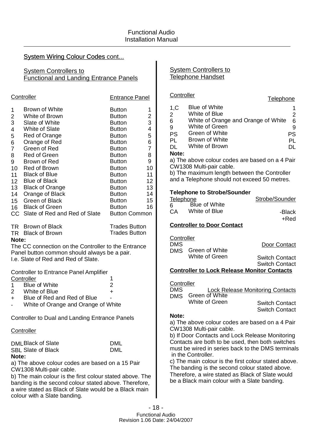### **System Wiring Colour Codes cont...**

### **System Controllers to** Functional and Landing Entrance Panels

|                                                                           | Controller                                                                                                                                                                                                                                                                                                                                                    | <b>Entrance Panel</b>                                                                                                                                                                                                                                                                                |                                                                 |
|---------------------------------------------------------------------------|---------------------------------------------------------------------------------------------------------------------------------------------------------------------------------------------------------------------------------------------------------------------------------------------------------------------------------------------------------------|------------------------------------------------------------------------------------------------------------------------------------------------------------------------------------------------------------------------------------------------------------------------------------------------------|-----------------------------------------------------------------|
| 1<br>$\overline{c}$<br>3<br>4<br>5<br>6<br>$\overline{7}$<br>8<br>9<br>14 | <b>Brown of White</b><br>White of Brown<br>Slate of White<br><b>White of Slate</b><br>Red of Orange<br>Orange of Red<br>Green of Red<br><b>Red of Green</b><br>Brown of Red<br>10 Red of Brown<br>11 Black of Blue<br>12 Blue of Black<br>13 Black of Orange<br>Orange of Black<br>15 Green of Black<br>16 Black of Green<br>CC Slate of Red and Red of Slate | <b>Button</b><br><b>Button</b><br><b>Button</b><br><b>Button</b><br><b>Button</b><br><b>Button</b><br><b>Button</b><br><b>Button</b><br><b>Button</b><br><b>Button</b><br><b>Button</b><br><b>Button</b><br><b>Button</b><br><b>Button</b><br><b>Button</b><br><b>Button</b><br><b>Button Common</b> | 1<br>234567<br>8<br>9<br>10<br>11<br>12<br>13<br>14<br>15<br>16 |
| Note:                                                                     | TR Brown of Black<br>TR Black of Brown<br>The CC connection on the Controller to the Entrance<br>Panel button common should always be a pair.<br>I.e. Slate of Red and Red of Slate.                                                                                                                                                                          | <b>Trades Button</b><br><b>Trades Button</b>                                                                                                                                                                                                                                                         |                                                                 |
| 1.<br>$+$                                                                 | <b>Controller to Entrance Panel Amplifier</b><br>Controller<br><b>Blue of White</b><br>2 White of Blue<br>Blue of Red and Red of Blue                                                                                                                                                                                                                         | 1<br>2<br>$\ddot{}$                                                                                                                                                                                                                                                                                  |                                                                 |

- + Blue of Red and Red of Blue
- White of Orange and Orange of White

Controller to Dual and Landing Entrance Panels

### **Controller**

DML Black of Slate SBL Slate of Black **Note:**

DML DML

a) The above colour codes are based on a 15 Pair CW1308 Multi-pair cable.

b) The main colour is the first colour stated above. The banding is the second colour stated above. Therefore, a wire stated as Black of Slate would be a Black main colour with a Slate banding.

### System Controllers to Telephone Handset

### **Controller**

| 1,C       | Blue of White                       |    |
|-----------|-------------------------------------|----|
| 2         | White of Blue                       |    |
| 6         | White of Orange and Orange of White | 6  |
| 9         | White of Green                      |    |
| <b>PS</b> | Green of White                      | PS |
| PL        | Brown of White                      | PL |
| DI.       | White of Brown                      |    |
| Note:     |                                     |    |
|           |                                     |    |

**Telephone** 

a) The above colour codes are based on a 4 Pair CW1308 Multi-pair cable.

b) The maximum length between the Controller and a Telephone should not exceed 50 metres.

### **Telephone to Strobe/Sounder**

|    | Telephone            | Strobe/Sounder |  |
|----|----------------------|----------------|--|
| 6  | <b>Blue of White</b> |                |  |
| СA | White of Blue        | -Black         |  |
|    |                      | +Red           |  |

### **Controller to Door Contact**

Controller

| <b>DMS</b> |                    | Door Contact          |
|------------|--------------------|-----------------------|
|            | DMS Green of White |                       |
|            | White of Green     | <b>Switch Contact</b> |
|            |                    | <b>Switch Contact</b> |

### **Controller to Lock Release Monitor Contacts**

| Controller |                |                                         |
|------------|----------------|-----------------------------------------|
| <b>DMS</b> |                | <b>Lock Release Monitoring Contacts</b> |
| <b>DMS</b> | Green of White |                                         |
|            | White of Green | <b>Switch Contact</b>                   |
|            |                | <b>Switch Contact</b>                   |

### **Note:**

a) The above colour codes are based on a 4 Pair CW1308 Multi-pair cable.

b) If Door Contacts and Lock Release Monitoring Contacts are both to be used, then both switches must be wired in series back to the DMS terminals in the Controller.

c) The main colour is the first colour stated above. The banding is the second colour stated above. Therefore, a wire stated as Black of Slate would be a Black main colour with a Slate banding.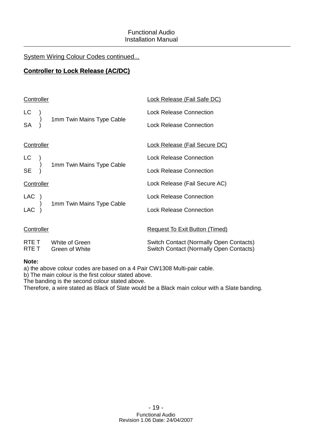### System Wiring Colour Codes continued...

## **Controller to Lock Release (AC/DC)**

| Controller |                                        | <b>Lock Release (Fail Safe DC)</b>                                                        |
|------------|----------------------------------------|-------------------------------------------------------------------------------------------|
| LC         |                                        | <b>Lock Release Connection</b>                                                            |
| <b>SA</b>  | 1mm Twin Mains Type Cable              | <b>Lock Release Connection</b>                                                            |
| Controller |                                        | <b>Lock Release (Fail Secure DC)</b>                                                      |
| LC         |                                        | <b>Lock Release Connection</b>                                                            |
| <b>SE</b>  | 1mm Twin Mains Type Cable              | <b>Lock Release Connection</b>                                                            |
| Controller |                                        | Lock Release (Fail Secure AC)                                                             |
| LAC )      |                                        | <b>Lock Release Connection</b>                                                            |
| <b>LAC</b> | 1mm Twin Mains Type Cable              | <b>Lock Release Connection</b>                                                            |
| Controller |                                        | <b>Request To Exit Button (Timed)</b>                                                     |
| RTE T      | RTE T White of Green<br>Green of White | Switch Contact (Normally Open Contacts)<br><b>Switch Contact (Normally Open Contacts)</b> |
|            |                                        |                                                                                           |

### **Note:**

a) the above colour codes are based on a 4 Pair CW1308 Multi-pair cable.

b) The main colour is the first colour stated above.

The banding is the second colour stated above.

Therefore, a wire stated as Black of Slate would be a Black main colour with a Slate banding.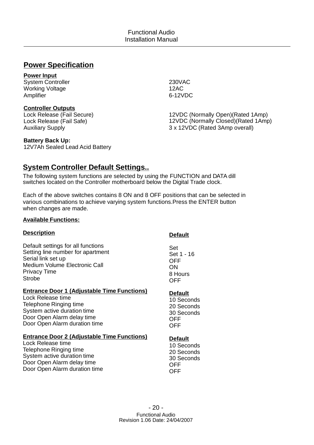# **Power Specification**

### **Power Input**

System Controller Working Voltage Amplifier

### **Controller Outputs**

Lock Release (Fail Secure) Lock Release (Fail Safe) Auxiliary Supply

### **Battery Back Up:**

12V7Ah Sealed Lead Acid Battery

## **System Controller Default Settings..**

The following system functions are selected by using the FUNCTION and DATA dill switches located on the Controller motherboard below the Digital Trade clock.

Each of the above switches contains 8 ON and 8 OFF positions that can be selected in various combinations to achieve varying system functions.Press the ENTER button when changes are made.

### **Available Functions:**

| Default settings for all functions<br>Set<br>Setting line number for apartment<br>Set 1 - 16<br>Serial link set up<br><b>OFF</b><br><b>Medium Volume Electronic Call</b><br>ON<br><b>Privacy Time</b><br>8 Hours<br>Strobe<br>OFF<br><b>Entrance Door 1 (Adjustable Time Functions)</b><br><b>Default</b><br>Lock Release time<br>10 Seconds<br>Telephone Ringing time<br>20 Seconds<br>System active duration time<br>30 Seconds<br>Door Open Alarm delay time<br>OFF<br>Door Open Alarm duration time<br>OFF<br><b>Entrance Door 2 (Adjustable Time Functions)</b><br><b>Default</b><br>Lock Release time<br>10 Seconds<br>Telephone Ringing time<br>20 Seconds<br>System active duration time<br>30 Seconds<br>Door Open Alarm delay time<br><b>OFF</b><br>Door Open Alarm duration time<br>OFF | <u>Description</u> | <b>Default</b> |
|----------------------------------------------------------------------------------------------------------------------------------------------------------------------------------------------------------------------------------------------------------------------------------------------------------------------------------------------------------------------------------------------------------------------------------------------------------------------------------------------------------------------------------------------------------------------------------------------------------------------------------------------------------------------------------------------------------------------------------------------------------------------------------------------------|--------------------|----------------|
|                                                                                                                                                                                                                                                                                                                                                                                                                                                                                                                                                                                                                                                                                                                                                                                                    |                    |                |
|                                                                                                                                                                                                                                                                                                                                                                                                                                                                                                                                                                                                                                                                                                                                                                                                    |                    |                |
|                                                                                                                                                                                                                                                                                                                                                                                                                                                                                                                                                                                                                                                                                                                                                                                                    |                    |                |

- 20 -

# 12VDC (Normally Open)(Rated 1Amp) 12VDC (Normally Closed)(Rated 1Amp) 3 x 12VDC (Rated 3Amp overall)

230VAC 12AC 6-12VDC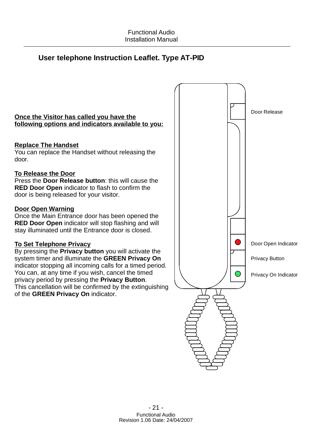# **User telephone Instruction Leaflet. Type AT-PID**

# Door Release Door Open Indicator Privacy On Indicator Privacy Button **Once the Visitor has called you have the Door Open Warning To Set Telephone Privacy RED Door Open** indicator to flash to confirm the **RED Door Open** indicator will stop flashing and will By pressing the **Privacy button** you will activate the system timer and illuminate the GREEN Privacy On privacy period by pressing the **Privacy Button**. of the GREEN Privacy On indicator. door is being released for your visitor. Once the Main Entrance door has been opened the stay illuminated until the Entrance door is closed. indicator stopping all incoming calls for a timed period. You can, at any time if you wish, cancel the timed This cancellation will be confirmed by the extinguishing **following options and indicators available to you: Replace The Handset To Release the Door** You can replace the Handset without releasing the door. Press the **Door Release button**: this will cause the